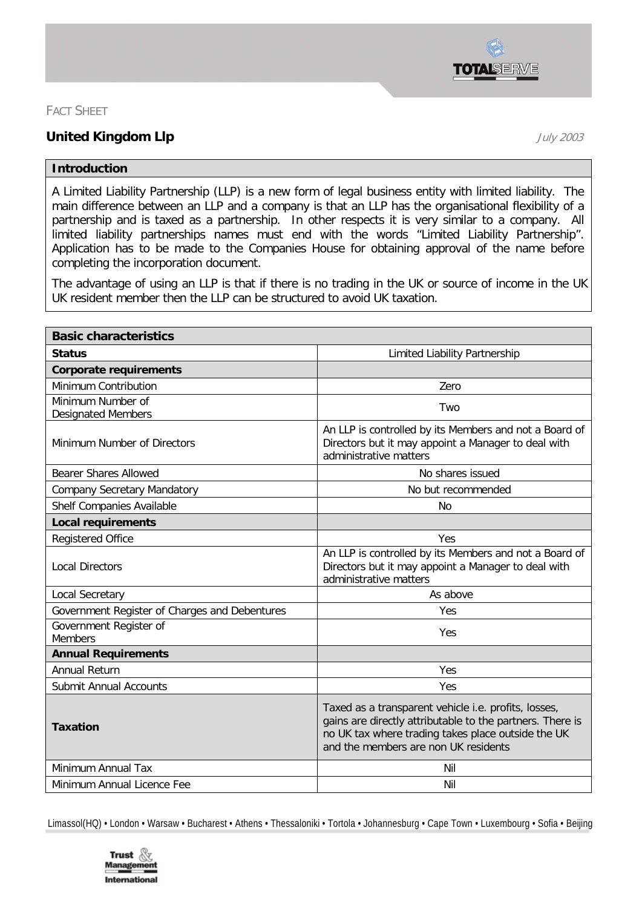

## FACT SHEET

## **United Kingdom Llp** July <sup>2003</sup>

## **Introduction**

A Limited Liability Partnership (LLP) is a new form of legal business entity with limited liability. The main difference between an LLP and a company is that an LLP has the organisational flexibility of a partnership and is taxed as a partnership. In other respects it is very similar to a company. All limited liability partnerships names must end with the words "Limited Liability Partnership". Application has to be made to the Companies House for obtaining approval of the name before completing the incorporation document.

The advantage of using an LLP is that if there is no trading in the UK or source of income in the UK UK resident member then the LLP can be structured to avoid UK taxation.

| <b>Basic characteristics</b>                   |                                                                                                                                                                                                                 |
|------------------------------------------------|-----------------------------------------------------------------------------------------------------------------------------------------------------------------------------------------------------------------|
| <b>Status</b>                                  | Limited Liability Partnership                                                                                                                                                                                   |
| <b>Corporate requirements</b>                  |                                                                                                                                                                                                                 |
| Minimum Contribution                           | Zero                                                                                                                                                                                                            |
| Minimum Number of<br><b>Designated Members</b> | Two                                                                                                                                                                                                             |
| Minimum Number of Directors                    | An LLP is controlled by its Members and not a Board of<br>Directors but it may appoint a Manager to deal with<br>administrative matters                                                                         |
| Bearer Shares Allowed                          | No shares issued                                                                                                                                                                                                |
| <b>Company Secretary Mandatory</b>             | No but recommended                                                                                                                                                                                              |
| Shelf Companies Available                      | No                                                                                                                                                                                                              |
| <b>Local requirements</b>                      |                                                                                                                                                                                                                 |
| <b>Registered Office</b>                       | Yes                                                                                                                                                                                                             |
| <b>Local Directors</b>                         | An LLP is controlled by its Members and not a Board of<br>Directors but it may appoint a Manager to deal with<br>administrative matters                                                                         |
| Local Secretary                                | As above                                                                                                                                                                                                        |
| Government Register of Charges and Debentures  | Yes                                                                                                                                                                                                             |
| Government Register of<br><b>Members</b>       | Yes                                                                                                                                                                                                             |
| <b>Annual Requirements</b>                     |                                                                                                                                                                                                                 |
| <b>Annual Return</b>                           | Yes                                                                                                                                                                                                             |
| <b>Submit Annual Accounts</b>                  | Yes                                                                                                                                                                                                             |
| <b>Taxation</b>                                | Taxed as a transparent vehicle i.e. profits, losses,<br>gains are directly attributable to the partners. There is<br>no UK tax where trading takes place outside the UK<br>and the members are non UK residents |
| Minimum Annual Tax                             | Nil                                                                                                                                                                                                             |
| Minimum Annual Licence Fee                     | Nil                                                                                                                                                                                                             |

Limassol(HQ) • London • Warsaw • Bucharest • Athens • Thessaloniki • Tortola • Johannesburg • Cape Town • Luxembourg • Sofia • Beijing